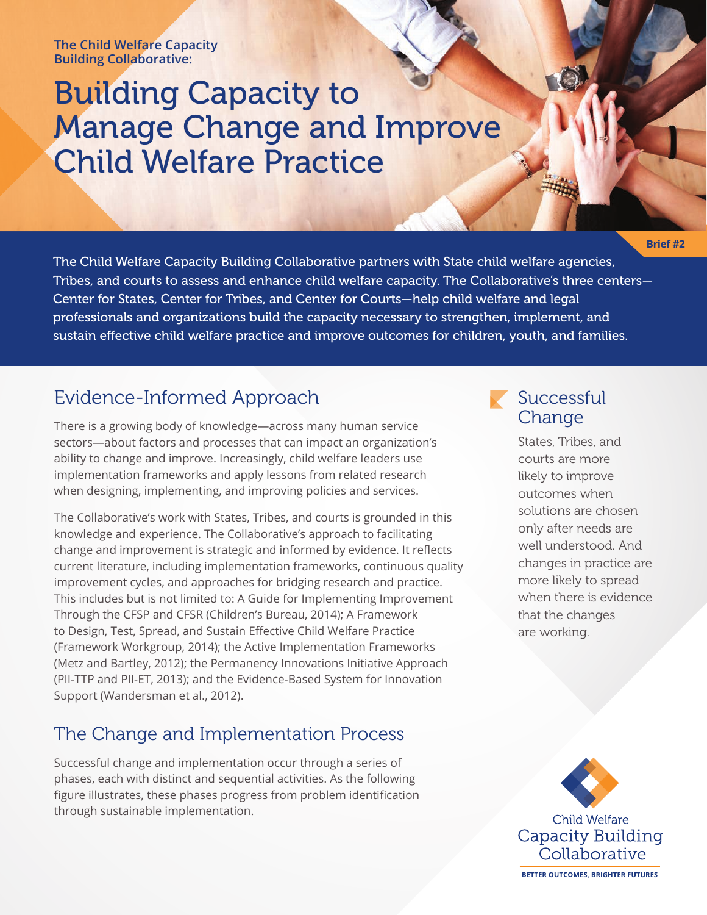#### **The Child Welfare Capacity Building Collaborative:**

# Building Capacity to Manage Change and Improve Child Welfare Practice

**Brief #2**

The Child Welfare Capacity Building Collaborative partners with State child welfare agencies, Tribes, and courts to assess and enhance child welfare capacity. The Collaborative's three centers— Center for States, Center for Tribes, and Center for Courts—help child welfare and legal professionals and organizations build the capacity necessary to strengthen, implement, and sustain effective child welfare practice and improve outcomes for children, youth, and families.

## Evidence-Informed Approach

There is a growing body of knowledge—across many human service sectors—about factors and processes that can impact an organization's ability to change and improve. Increasingly, child welfare leaders use implementation frameworks and apply lessons from related research when designing, implementing, and improving policies and services.

The Collaborative's work with States, Tribes, and courts is grounded in this knowledge and experience. The Collaborative's approach to facilitating change and improvement is strategic and informed by evidence. It reflects current literature, including implementation frameworks, continuous quality improvement cycles, and approaches for bridging research and practice. This includes but is not limited to: A Guide for Implementing Improvement Through the CFSP and CFSR (Children's Bureau, 2014); A Framework to Design, Test, Spread, and Sustain Effective Child Welfare Practice (Framework Workgroup, 2014); the Active Implementation Frameworks (Metz and Bartley, 2012); the Permanency Innovations Initiative Approach (PII-TTP and PII-ET, 2013); and the Evidence-Based System for Innovation Support (Wandersman et al., 2012).

## The Change and Implementation Process

Successful change and implementation occur through a series of phases, each with distinct and sequential activities. As the following figure illustrates, these phases progress from problem identification through sustainable implementation.

## Successful Change

States, Tribes, and courts are more likely to improve outcomes when solutions are chosen only after needs are well understood. And changes in practice are more likely to spread when there is evidence that the changes are working.



**Child Welfare Capacity Building** Collaborative

**BETTER OUTCOMES, BRIGHTER FUTURES**